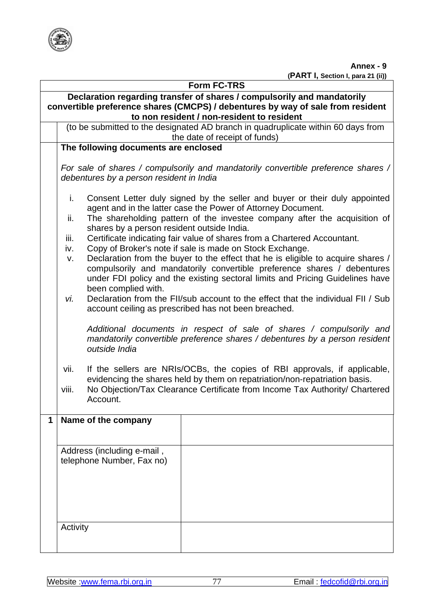

**Annex - 9** 

 **(PART I, Section I, para 21 (ii))** 

| <b>Form FC-TRS</b>                                                                                                                                                                                       |                                                                                                                                                                                                                                                                                                                                                                                                                                                                                                                                                                                                                                                                                                                                                                                                                                                                           |  |  |  |  |  |  |
|----------------------------------------------------------------------------------------------------------------------------------------------------------------------------------------------------------|---------------------------------------------------------------------------------------------------------------------------------------------------------------------------------------------------------------------------------------------------------------------------------------------------------------------------------------------------------------------------------------------------------------------------------------------------------------------------------------------------------------------------------------------------------------------------------------------------------------------------------------------------------------------------------------------------------------------------------------------------------------------------------------------------------------------------------------------------------------------------|--|--|--|--|--|--|
| Declaration regarding transfer of shares / compulsorily and mandatorily<br>convertible preference shares (CMCPS) / debentures by way of sale from resident<br>to non resident / non-resident to resident |                                                                                                                                                                                                                                                                                                                                                                                                                                                                                                                                                                                                                                                                                                                                                                                                                                                                           |  |  |  |  |  |  |
|                                                                                                                                                                                                          | (to be submitted to the designated AD branch in quadruplicate within 60 days from<br>the date of receipt of funds)                                                                                                                                                                                                                                                                                                                                                                                                                                                                                                                                                                                                                                                                                                                                                        |  |  |  |  |  |  |
|                                                                                                                                                                                                          | The following documents are enclosed                                                                                                                                                                                                                                                                                                                                                                                                                                                                                                                                                                                                                                                                                                                                                                                                                                      |  |  |  |  |  |  |
|                                                                                                                                                                                                          | For sale of shares / compulsorily and mandatorily convertible preference shares /<br>debentures by a person resident in India                                                                                                                                                                                                                                                                                                                                                                                                                                                                                                                                                                                                                                                                                                                                             |  |  |  |  |  |  |
|                                                                                                                                                                                                          | i.<br>Consent Letter duly signed by the seller and buyer or their duly appointed<br>agent and in the latter case the Power of Attorney Document.<br>The shareholding pattern of the investee company after the acquisition of<br>ii.<br>shares by a person resident outside India.<br>Certificate indicating fair value of shares from a Chartered Accountant.<br>iii.<br>Copy of Broker's note if sale is made on Stock Exchange.<br>iv.<br>Declaration from the buyer to the effect that he is eligible to acquire shares /<br>V.<br>compulsorily and mandatorily convertible preference shares / debentures<br>under FDI policy and the existing sectoral limits and Pricing Guidelines have<br>been complied with.<br>Declaration from the FII/sub account to the effect that the individual FII / Sub<br>vi.<br>account ceiling as prescribed has not been breached. |  |  |  |  |  |  |
|                                                                                                                                                                                                          | Additional documents in respect of sale of shares / compulsorily and<br>mandatorily convertible preference shares / debentures by a person resident<br>outside India                                                                                                                                                                                                                                                                                                                                                                                                                                                                                                                                                                                                                                                                                                      |  |  |  |  |  |  |
|                                                                                                                                                                                                          | If the sellers are NRIs/OCBs, the copies of RBI approvals, if applicable,<br>vii.<br>evidencing the shares held by them on repatriation/non-repatriation basis.<br>No Objection/Tax Clearance Certificate from Income Tax Authority/ Chartered<br>viii.<br>Account.                                                                                                                                                                                                                                                                                                                                                                                                                                                                                                                                                                                                       |  |  |  |  |  |  |
| 1                                                                                                                                                                                                        | Name of the company                                                                                                                                                                                                                                                                                                                                                                                                                                                                                                                                                                                                                                                                                                                                                                                                                                                       |  |  |  |  |  |  |
|                                                                                                                                                                                                          | Address (including e-mail,<br>telephone Number, Fax no)                                                                                                                                                                                                                                                                                                                                                                                                                                                                                                                                                                                                                                                                                                                                                                                                                   |  |  |  |  |  |  |
|                                                                                                                                                                                                          | Activity                                                                                                                                                                                                                                                                                                                                                                                                                                                                                                                                                                                                                                                                                                                                                                                                                                                                  |  |  |  |  |  |  |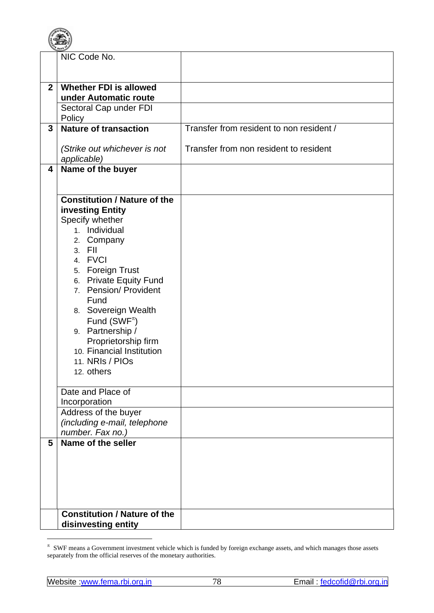|                | PLE BANK OF                             |                                          |
|----------------|-----------------------------------------|------------------------------------------|
|                | NIC Code No.                            |                                          |
|                |                                         |                                          |
|                |                                         |                                          |
| $\overline{2}$ | <b>Whether FDI is allowed</b>           |                                          |
|                | under Automatic route                   |                                          |
|                | Sectoral Cap under FDI                  |                                          |
|                | Policy                                  |                                          |
| 3              | <b>Nature of transaction</b>            | Transfer from resident to non resident / |
|                |                                         |                                          |
|                | (Strike out whichever is not            | Transfer from non resident to resident   |
|                |                                         |                                          |
| 4              | applicable)                             |                                          |
|                | Name of the buyer                       |                                          |
|                |                                         |                                          |
|                | <b>Constitution / Nature of the</b>     |                                          |
|                |                                         |                                          |
|                | investing Entity                        |                                          |
|                | Specify whether                         |                                          |
|                | 1. Individual                           |                                          |
|                | 2. Company                              |                                          |
|                | 3. FII                                  |                                          |
|                | 4. FVCI                                 |                                          |
|                | 5. Foreign Trust                        |                                          |
|                | 6. Private Equity Fund                  |                                          |
|                | <b>Pension/ Provident</b><br>7.         |                                          |
|                | Fund                                    |                                          |
|                | 8. Sovereign Wealth                     |                                          |
|                | Fund (SWF <sup><math>\pi</math></sup> ) |                                          |
|                | 9. Partnership /                        |                                          |
|                | Proprietorship firm                     |                                          |
|                | 10. Financial Institution               |                                          |
|                | 11. NRIs / PIOs                         |                                          |
|                | 12. others                              |                                          |
|                |                                         |                                          |
|                | Date and Place of                       |                                          |
|                | Incorporation                           |                                          |
|                | Address of the buyer                    |                                          |
|                | (including e-mail, telephone            |                                          |
|                | number. Fax no.)                        |                                          |
| 5              | Name of the seller                      |                                          |
|                |                                         |                                          |
|                |                                         |                                          |
|                |                                         |                                          |
|                |                                         |                                          |
|                |                                         |                                          |
|                |                                         |                                          |
|                | <b>Constitution / Nature of the</b>     |                                          |
|                | disinvesting entity                     |                                          |

 π SWF means a Government investment vehicle which is funded by foreign exchange assets, and which manages those assets separately from the official reserves of the monetary authorities.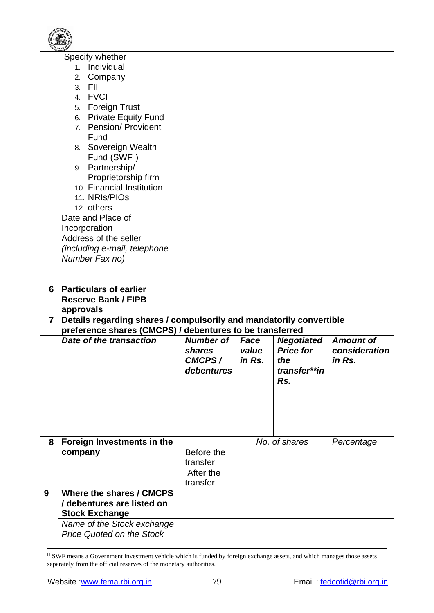|                         | Specify whether                                                     |                  |        |                   |                  |
|-------------------------|---------------------------------------------------------------------|------------------|--------|-------------------|------------------|
|                         | 1. Individual                                                       |                  |        |                   |                  |
|                         | Company<br>2.                                                       |                  |        |                   |                  |
|                         | - FII<br>3 <sub>1</sub>                                             |                  |        |                   |                  |
|                         | 4. FVCI                                                             |                  |        |                   |                  |
|                         | 5. Foreign Trust                                                    |                  |        |                   |                  |
|                         | 6. Private Equity Fund                                              |                  |        |                   |                  |
|                         | 7. Pension/ Provident                                               |                  |        |                   |                  |
|                         | Fund                                                                |                  |        |                   |                  |
|                         | 8. Sovereign Wealth                                                 |                  |        |                   |                  |
|                         | Fund (SWF <sup>II</sup> )                                           |                  |        |                   |                  |
|                         | 9. Partnership/                                                     |                  |        |                   |                  |
|                         | Proprietorship firm                                                 |                  |        |                   |                  |
|                         | 10. Financial Institution                                           |                  |        |                   |                  |
|                         | 11. NRIs/PIOs                                                       |                  |        |                   |                  |
|                         | 12. others                                                          |                  |        |                   |                  |
|                         | Date and Place of                                                   |                  |        |                   |                  |
|                         |                                                                     |                  |        |                   |                  |
|                         | Incorporation<br>Address of the seller                              |                  |        |                   |                  |
|                         |                                                                     |                  |        |                   |                  |
|                         | (including e-mail, telephone                                        |                  |        |                   |                  |
|                         | Number Fax no)                                                      |                  |        |                   |                  |
|                         |                                                                     |                  |        |                   |                  |
| 6                       | <b>Particulars of earlier</b>                                       |                  |        |                   |                  |
|                         | <b>Reserve Bank / FIPB</b>                                          |                  |        |                   |                  |
|                         | approvals                                                           |                  |        |                   |                  |
| $\overline{\mathbf{7}}$ | Details regarding shares / compulsorily and mandatorily convertible |                  |        |                   |                  |
|                         | preference shares (CMCPS) / debentures to be transferred            |                  |        |                   |                  |
|                         | Date of the transaction                                             | <b>Number of</b> | Face   | <b>Negotiated</b> | <b>Amount of</b> |
|                         |                                                                     | shares           | value  | <b>Price for</b>  | consideration    |
|                         |                                                                     | <b>CMCPS/</b>    | in Rs. | the               | in Rs.           |
|                         |                                                                     | debentures       |        | transfer**in      |                  |
|                         |                                                                     |                  |        | Rs.               |                  |
|                         |                                                                     |                  |        |                   |                  |
|                         |                                                                     |                  |        |                   |                  |
|                         |                                                                     |                  |        |                   |                  |
|                         |                                                                     |                  |        |                   |                  |
|                         |                                                                     |                  |        |                   |                  |
| 8                       | Foreign Investments in the                                          |                  |        | No. of shares     | Percentage       |
|                         | company                                                             | Before the       |        |                   |                  |
|                         |                                                                     |                  |        |                   |                  |
|                         |                                                                     |                  |        |                   |                  |
|                         |                                                                     | transfer         |        |                   |                  |
|                         |                                                                     | After the        |        |                   |                  |
| 9                       |                                                                     | transfer         |        |                   |                  |
|                         | Where the shares / CMCPS                                            |                  |        |                   |                  |
|                         | / debentures are listed on                                          |                  |        |                   |                  |
|                         | <b>Stock Exchange</b>                                               |                  |        |                   |                  |
|                         | Name of the Stock exchange<br><b>Price Quoted on the Stock</b>      |                  |        |                   |                  |

 $\pi$  SWF means a Government investment vehicle which is funded by foreign exchange assets, and which manages those assets separately from the official reserves of the monetary authorities.

1

**BOOK PORTAL**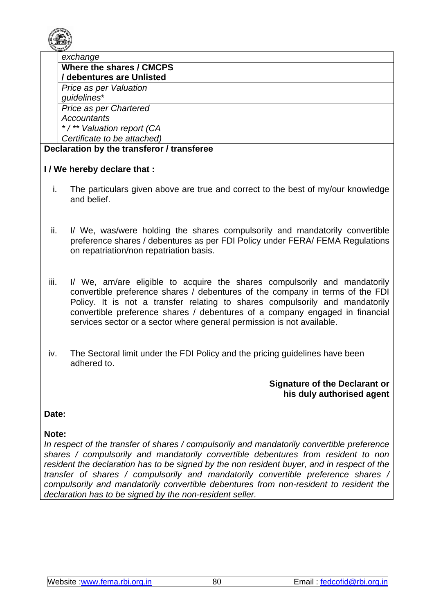

| exchange                    |  |
|-----------------------------|--|
| Where the shares / CMCPS    |  |
| / debentures are Unlisted   |  |
| Price as per Valuation      |  |
| guidelines*                 |  |
| Price as per Chartered      |  |
| Accountants                 |  |
| */** Valuation report (CA   |  |
| Certificate to be attached) |  |

#### **Declaration by the transferor / transferee**

### **I / We hereby declare that :**

- i. The particulars given above are true and correct to the best of my/our knowledge and belief.
- ii. I/ We, was/were holding the shares compulsorily and mandatorily convertible preference shares / debentures as per FDI Policy under FERA/ FEMA Regulations on repatriation/non repatriation basis.
- iii. I/ We, am/are eligible to acquire the shares compulsorily and mandatorily convertible preference shares / debentures of the company in terms of the FDI Policy. It is not a transfer relating to shares compulsorily and mandatorily convertible preference shares / debentures of a company engaged in financial services sector or a sector where general permission is not available.
- iv. The Sectoral limit under the FDI Policy and the pricing guidelines have been adhered to.

### **Signature of the Declarant or his duly authorised agent**

## **Date:**

# **Note:**

*In respect of the transfer of shares / compulsorily and mandatorily convertible preference shares / compulsorily and mandatorily convertible debentures from resident to non resident the declaration has to be signed by the non resident buyer, and in respect of the transfer of shares / compulsorily and mandatorily convertible preference shares / compulsorily and mandatorily convertible debentures from non-resident to resident the declaration has to be signed by the non-resident seller.*